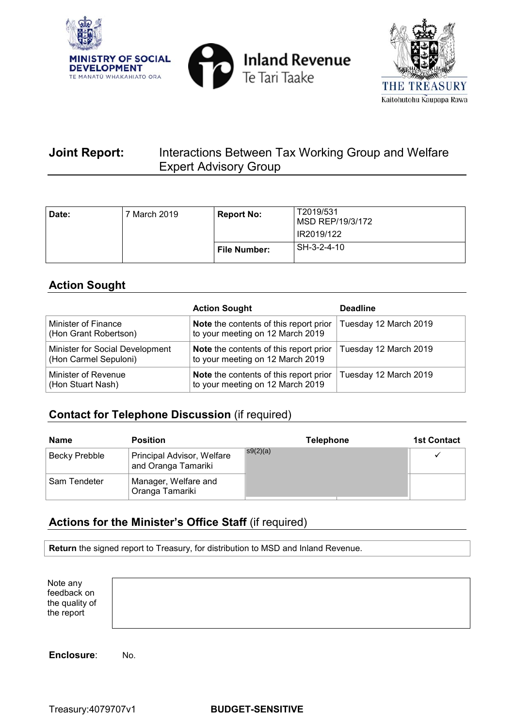





# **Joint Report:** Interactions Between Tax Working Group and Welfare Expert Advisory Group

| Date: | March 2019 | <b>Report No:</b> | T2019/531<br>MSD REP/19/3/172<br>IR2019/122 |
|-------|------------|-------------------|---------------------------------------------|
|       |            | File Number:      | SH-3-2-4-10                                 |

# **Action Sought**

|                                                          | <b>Action Sought</b>                                                              | <b>Deadline</b>       |
|----------------------------------------------------------|-----------------------------------------------------------------------------------|-----------------------|
| Minister of Finance<br>(Hon Grant Robertson)             | Note the contents of this report prior<br>to your meeting on 12 March 2019        | Tuesday 12 March 2019 |
| Minister for Social Development<br>(Hon Carmel Sepuloni) | <b>Note</b> the contents of this report prior<br>to your meeting on 12 March 2019 | Tuesday 12 March 2019 |
| Minister of Revenue<br>(Hon Stuart Nash)                 | <b>Note</b> the contents of this report prior<br>to your meeting on 12 March 2019 | Tuesday 12 March 2019 |

# **Contact for Telephone Discussion** (if required)

| <b>Name</b>   | <b>Position</b>                                   | <b>Telephone</b>  | <b>1st Contact</b> |
|---------------|---------------------------------------------------|-------------------|--------------------|
| Becky Prebble | Principal Advisor, Welfare<br>and Oranga Tamariki | $\sqrt{89(2)(a)}$ |                    |
| Sam Tendeter  | Manager, Welfare and<br>Oranga Tamariki           |                   |                    |

# **Actions for the Minister's Office Staff** (if required)

**Return** the signed report to Treasury, for distribution to MSD and Inland Revenue.

| Note any<br>feedback on<br>the quality of<br>the report |  |  |  |  |
|---------------------------------------------------------|--|--|--|--|
|---------------------------------------------------------|--|--|--|--|

**Enclosure**: No.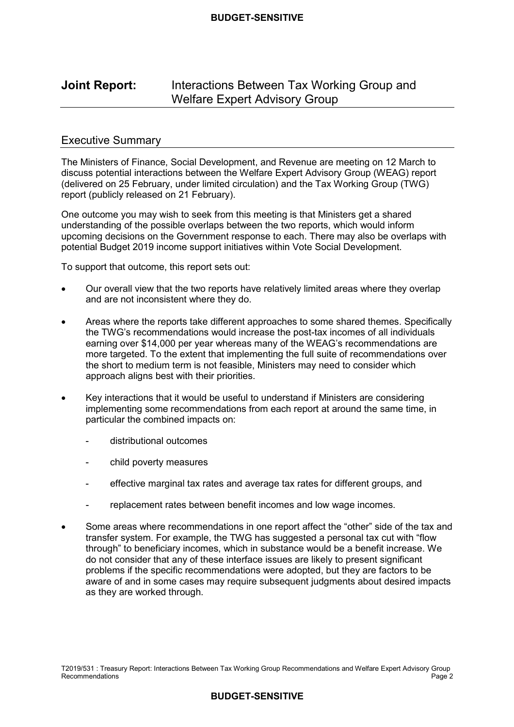# **Joint Report:** Interactions Between Tax Working Group and Welfare Expert Advisory Group

## Executive Summary

 The Ministers of Finance, Social Development, and Revenue are meeting on 12 March to discuss potential interactions between the Welfare Expert Advisory Group (WEAG) report (delivered on 25 February, under limited circulation) and the Tax Working Group (TWG) report (publicly released on 21 February).

 One outcome you may wish to seek from this meeting is that Ministers get a shared understanding of the possible overlaps between the two reports, which would inform upcoming decisions on the Government response to each. There may also be overlaps with potential Budget 2019 income support initiatives within Vote Social Development.

To support that outcome, this report sets out:

- • Our overall view that the two reports have relatively limited areas where they overlap and are not inconsistent where they do.
- the TWG's recommendations would increase the post-tax incomes of all individuals earning over \$14,000 per year whereas many of the WEAG's recommendations are more targeted. To the extent that implementing the full suite of recommendations over the short to medium term is not feasible, Ministers may need to consider which approach aligns best with their priorities. • Areas where the reports take different approaches to some shared themes. Specifically
- implementing some recommendations from each report at around the same time, in particular the combined impacts on: • Key interactions that it would be useful to understand if Ministers are considering
	- distributional outcomes
	- child poverty measures
	- effective marginal tax rates and average tax rates for different groups, and
	- replacement rates between benefit incomes and low wage incomes.
- • Some areas where recommendations in one report affect the "other" side of the tax and transfer system. For example, the TWG has suggested a personal tax cut with "flow through" to beneficiary incomes, which in substance would be a benefit increase. We do not consider that any of these interface issues are likely to present significant problems if the specific recommendations were adopted, but they are factors to be aware of and in some cases may require subsequent judgments about desired impacts as they are worked through.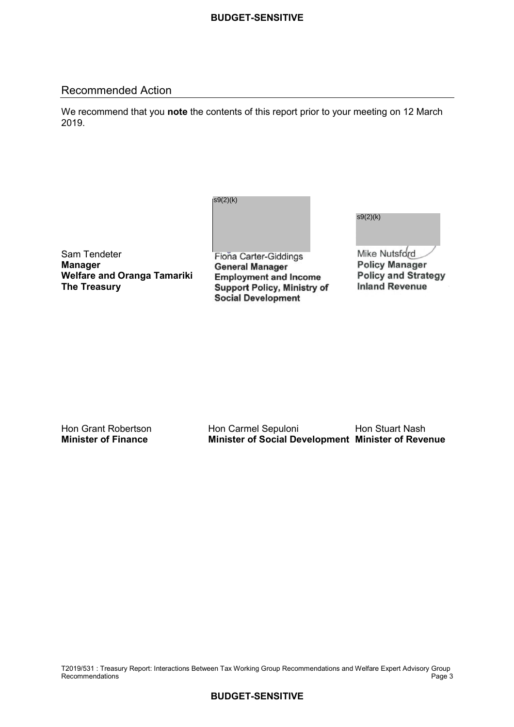## Recommended Action

 We recommend that you **note** the contents of this report prior to your meeting on 12 March 2019.

| s9(2)(k) |  |  |
|----------|--|--|
|          |  |  |
|          |  |  |

 Sam Tendeter  **Manager Welfare and Oranga Tamariki The Treasury** 

Fiona Carter-Giddings **General Manager Employment and Income Support Policy, Ministry of Social Development** 

s9(2)(k)

Mike Nutsford **Policy Manager Policy and Strategy Inland Revenue** 

Hon Grant Robertson **Minister of Finance** 

Hon Carmel Sepuloni Hon Stuart Nash **Minister of Finance Minister of Social Development Minister of Revenue** 

 T2019/531 : Treasury Report: Interactions Between Tax Working Group Recommendations and Welfare Expert Advisory Group Recommendations Page 3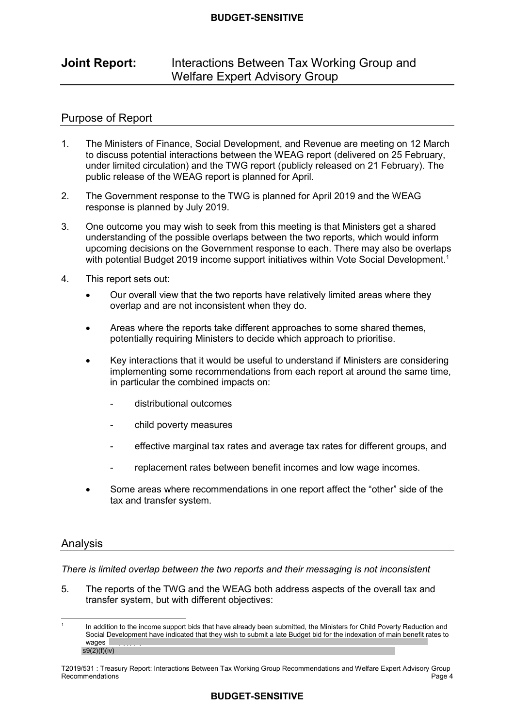# **Joint Report:** Interactions Between Tax Working Group and Welfare Expert Advisory Group

## Purpose of Report

- $1<sup>1</sup>$  to discuss potential interactions between the WEAG report (delivered on 25 February, under limited circulation) and the TWG report (publicly released on 21 February). The public release of the WEAG report is planned for April. The Ministers of Finance, Social Development, and Revenue are meeting on 12 March
- $\mathcal{P}$  response is planned by July 2019. The Government response to the TWG is planned for April 2019 and the WEAG
- 3. One outcome you may wish to seek from this meeting is that Ministers get a shared understanding of the possible overlaps between the two reports, which would inform upcoming decisions on the Government response to each. There may also be overlaps with potential Budget 2019 income support initiatives within Vote Social Development.<sup>1</sup>
- $\overline{4}$ . This report sets out:
	- overlap and are not inconsistent when they do. • Our overall view that the two reports have relatively limited areas where they
	- potentially requiring Ministers to decide which approach to prioritise. • Areas where the reports take different approaches to some shared themes,
	- implementing some recommendations from each report at around the same time, in particular the combined impacts on: • Key interactions that it would be useful to understand if Ministers are considering
		- distributional outcomes
		- child poverty measures
		- effective marginal tax rates and average tax rates for different groups, and
		- replacement rates between benefit incomes and low wage incomes.
	- • Some areas where recommendations in one report affect the "other" side of the tax and transfer system.

## Analysis

 *There is limited overlap between the two reports and their messaging is not inconsistent* 

5. The reports of the TWG and the WEAG both address aspects of the overall tax and transfer system, but with different objectives:

 Social Development have indicated that they wish to submit a late Budget bid for the indexation of main benefit rates to In addition to the income support bids that have already been submitted, the Ministers for Child Poverty Reduction and wages  $|$  $s9(2)(f)(iv)$ 1

 T2019/531 : Treasury Report: Interactions Between Tax Working Group Recommendations and Welfare Expert Advisory Group Recommendations Page 4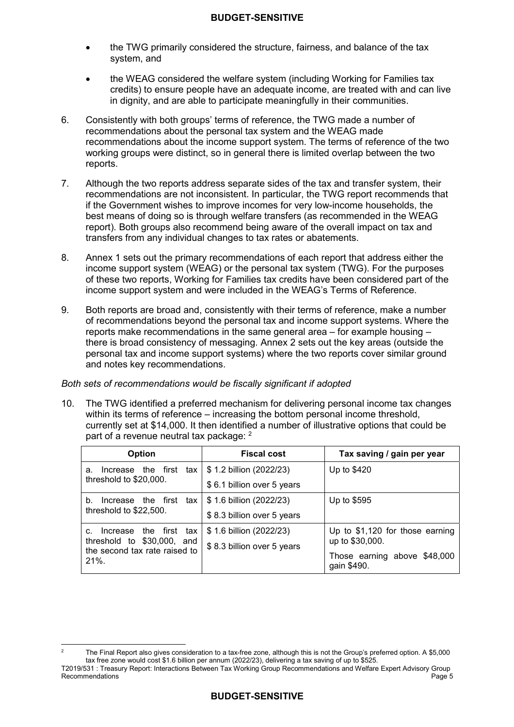- • the TWG primarily considered the structure, fairness, and balance of the tax system, and
- • the WEAG considered the welfare system (including Working for Families tax credits) to ensure people have an adequate income, are treated with and can live in dignity, and are able to participate meaningfully in their communities.
- 6. Consistently with both groups' terms of reference, the TWG made a number of recommendations about the personal tax system and the WEAG made recommendations about the income support system. The terms of reference of the two working groups were distinct, so in general there is limited overlap between the two reports.
- 7. Although the two reports address separate sides of the tax and transfer system, their recommendations are not inconsistent. In particular, the TWG report recommends that if the Government wishes to improve incomes for very low-income households, the best means of doing so is through welfare transfers (as recommended in the WEAG report). Both groups also recommend being aware of the overall impact on tax and transfers from any individual changes to tax rates or abatements.
- $8<sup>1</sup>$  income support system (WEAG) or the personal tax system (TWG). For the purposes of these two reports, Working for Families tax credits have been considered part of the income support system and were included in the WEAG's Terms of Reference. Annex 1 sets out the primary recommendations of each report that address either the
- 9. Both reports are broad and, consistently with their terms of reference, make a number of recommendations beyond the personal tax and income support systems. Where the reports make recommendations in the same general area – for example housing – there is broad consistency of messaging. Annex 2 sets out the key areas (outside the personal tax and income support systems) where the two reports cover similar ground and notes key recommendations.

## *Both sets of recommendations would be fiscally significant if adopted*

 $10<sup>-1</sup>$  within its terms of reference – increasing the bottom personal income threshold, currently set at \$14,000. It then identified a number of illustrative options that could be part of a revenue neutral tax package: <sup>2</sup> The TWG identified a preferred mechanism for delivering personal income tax changes

| <b>Option</b>                            | <b>Fiscal cost</b>         | Tax saving / gain per year                  |
|------------------------------------------|----------------------------|---------------------------------------------|
| Increase the first tax<br>а.             | \$1.2 billion (2022/23)    | Up to \$420                                 |
| threshold to $$20,000$ .                 | \$6.1 billion over 5 years |                                             |
| Increase the first tax<br>b.             | \$1.6 billion (2022/23)    | Up to \$595                                 |
| threshold to \$22,500.                   | \$8.3 billion over 5 years |                                             |
| Increase the first tax<br>C.             | \$1.6 billion (2022/23)    | Up to \$1,120 for those earning             |
| threshold to \$30,000, and               | \$8.3 billion over 5 years | up to \$30,000.                             |
| the second tax rate raised to<br>$21%$ . |                            | Those earning above \$48,000<br>gain \$490. |

 tax free zone would cost \$1.6 billion per annum (2022/23), delivering a tax saving of up to \$525. The Final Report also gives consideration to a tax-free zone, although this is not the Group's preferred option. A \$5,000 2

 T2019/531 : Treasury Report: Interactions Between Tax Working Group Recommendations and Welfare Expert Advisory Group Recommendations Page 5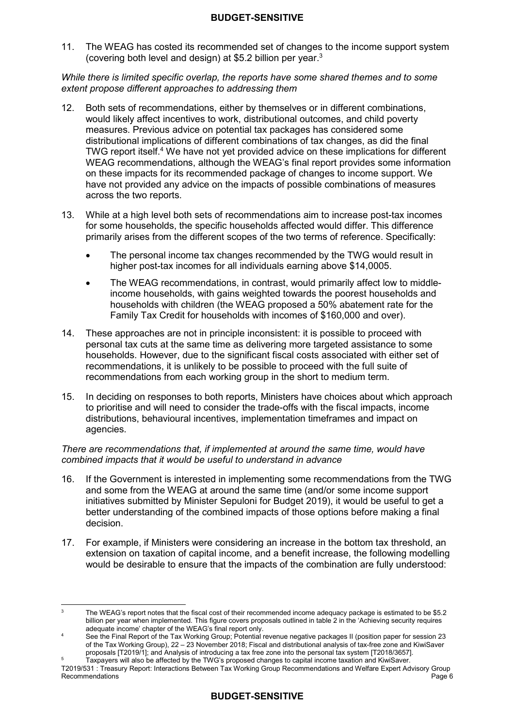$11<sup>1</sup>$ (covering both level and design) at \$5.2 billion per year. $3$ The WEAG has costed its recommended set of changes to the income support system

 *While there is limited specific overlap, the reports have some shared themes and to some extent propose different approaches to addressing them* 

- 12. Both sets of recommendations, either by themselves or in different combinations, would likely affect incentives to work, distributional outcomes, and child poverty measures. Previous advice on potential tax packages has considered some distributional implications of different combinations of tax changes, as did the final TWG report itself.<sup>4</sup> We have not yet provided advice on these implications for different WEAG recommendations, although the WEAG's final report provides some information on these impacts for its recommended package of changes to income support. We have not provided any advice on the impacts of possible combinations of measures across the two reports.
- $13<sub>1</sub>$  for some households, the specific households affected would differ. This difference primarily arises from the different scopes of the two terms of reference. Specifically: 13. While at a high level both sets of recommendations aim to increase post-tax incomes
	- higher post-tax incomes for all individuals earning above \$14,0005. The personal income tax changes recommended by the TWG would result in
	- income households, with gains weighted towards the poorest households and households with children (the WEAG proposed a 50% abatement rate for the Family Tax Credit for households with incomes of \$160,000 and over). • The WEAG recommendations, in contrast, would primarily affect low to middle-
- 14. These approaches are not in principle inconsistent: it is possible to proceed with personal tax cuts at the same time as delivering more targeted assistance to some households. However, due to the significant fiscal costs associated with either set of recommendations, it is unlikely to be possible to proceed with the full suite of recommendations from each working group in the short to medium term.
- 15. In deciding on responses to both reports, Ministers have choices about which approach to prioritise and will need to consider the trade-offs with the fiscal impacts, income distributions, behavioural incentives, implementation timeframes and impact on agencies.

#### *There are recommendations that, if implemented at around the same time, would have combined impacts that it would be useful to understand in advance*

- $16.$  and some from the WEAG at around the same time (and/or some income support initiatives submitted by Minister Sepuloni for Budget 2019), it would be useful to get a better understanding of the combined impacts of those options before making a final decision. 16. If the Government is interested in implementing some recommendations from the TWG
- $17<sub>1</sub>$  extension on taxation of capital income, and a benefit increase, the following modelling would be desirable to ensure that the impacts of the combination are fully understood: 17. For example, if Ministers were considering an increase in the bottom tax threshold, an

 $\overline{3}$  billion per year when implemented. This figure covers proposals outlined in table 2 in the 'Achieving security requires adequate income' chapter of the WEAG's final report only. The WEAG's report notes that the fiscal cost of their recommended income adequacy package is estimated to be \$5.2

 $\overline{A}$  of the Tax Working Group), 22 – 23 November 2018; Fiscal and distributional analysis of tax-free zone and KiwiSaver proposals [T2019/1]; and Analysis of introducing a tax free zone into the personal tax system [T2018/3657]. See the Final Report of the Tax Working Group; Potential revenue negative packages II (position paper for session 23

 T2019/531 : Treasury Report: Interactions Between Tax Working Group Recommendations and Welfare Expert Advisory Group <sup>5</sup> Taxpayers will also be affected by the TWG's proposed changes to capital income taxation and KiwiSaver. Recommendations **Page 6**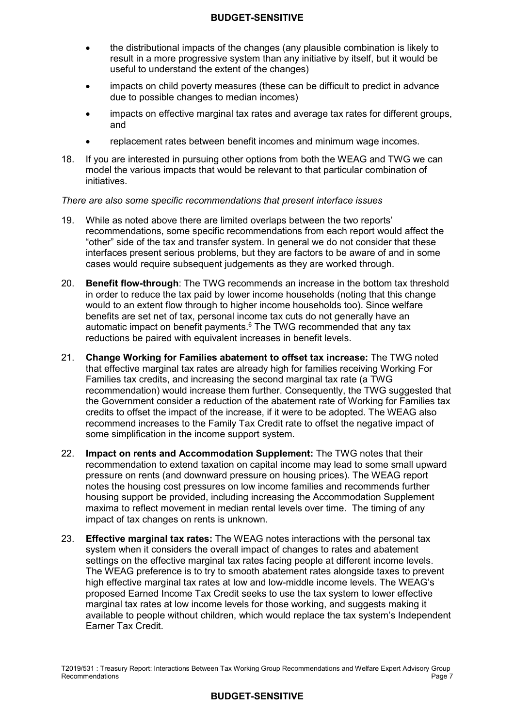- • the distributional impacts of the changes (any plausible combination is likely to result in a more progressive system than any initiative by itself, but it would be useful to understand the extent of the changes)
- • impacts on child poverty measures (these can be difficult to predict in advance due to possible changes to median incomes)
- • impacts on effective marginal tax rates and average tax rates for different groups, and
- replacement rates between benefit incomes and minimum wage incomes.
- 18 model the various impacts that would be relevant to that particular combination of If you are interested in pursuing other options from both the WEAG and TWG we can initiatives.

#### *There are also some specific recommendations that present interface issues*

- 19. While as noted above there are limited overlaps between the two reports' recommendations, some specific recommendations from each report would affect the "other" side of the tax and transfer system. In general we do not consider that these interfaces present serious problems, but they are factors to be aware of and in some cases would require subsequent judgements as they are worked through.
- 20. **Benefit flow-through**: The TWG recommends an increase in the bottom tax threshold in order to reduce the tax paid by lower income households (noting that this change would to an extent flow through to higher income households too). Since welfare benefits are set net of tax, personal income tax cuts do not generally have an automatic impact on benefit payments. $6$  The TWG recommended that any tax reductions be paired with equivalent increases in benefit levels.
- 21. **Change Working for Families abatement to offset tax increase:** The TWG noted that effective marginal tax rates are already high for families receiving Working For Families tax credits, and increasing the second marginal tax rate (a TWG recommendation) would increase them further. Consequently, the TWG suggested that the Government consider a reduction of the abatement rate of Working for Families tax credits to offset the impact of the increase, if it were to be adopted. The WEAG also recommend increases to the Family Tax Credit rate to offset the negative impact of some simplification in the income support system.
- 22. **Impact on rents and Accommodation Supplement:** The TWG notes that their recommendation to extend taxation on capital income may lead to some small upward pressure on rents (and downward pressure on housing prices). The WEAG report notes the housing cost pressures on low income families and recommends further housing support be provided, including increasing the Accommodation Supplement maxima to reflect movement in median rental levels over time. The timing of any impact of tax changes on rents is unknown.
- 23. **Effective marginal tax rates:** The WEAG notes interactions with the personal tax system when it considers the overall impact of changes to rates and abatement settings on the effective marginal tax rates facing people at different income levels. The WEAG preference is to try to smooth abatement rates alongside taxes to prevent high effective marginal tax rates at low and low-middle income levels. The WEAG's proposed Earned Income Tax Credit seeks to use the tax system to lower effective marginal tax rates at low income levels for those working, and suggests making it available to people without children, which would replace the tax system's Independent Earner Tax Credit.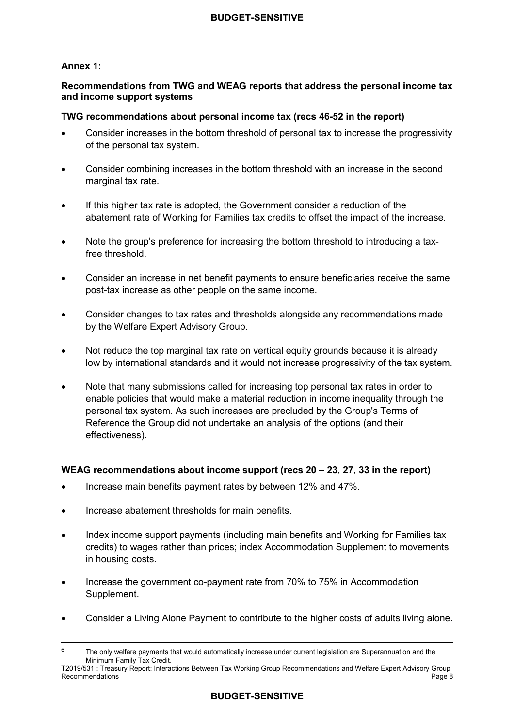## **Annex 1:**

## **Recommendations from TWG and WEAG reports that address the personal income tax and income support systems**

## **TWG recommendations about personal income tax (recs 46-52 in the report)**

- • Consider increases in the bottom threshold of personal tax to increase the progressivity of the personal tax system.
- • Consider combining increases in the bottom threshold with an increase in the second marginal tax rate.
- abatement rate of Working for Families tax credits to offset the impact of the increase. If this higher tax rate is adopted, the Government consider a reduction of the
- • Note the group's preference for increasing the bottom threshold to introducing a tax-free threshold.
- • Consider an increase in net benefit payments to ensure beneficiaries receive the same post-tax increase as other people on the same income.
- • Consider changes to tax rates and thresholds alongside any recommendations made by the Welfare Expert Advisory Group.
- low by international standards and it would not increase progressivity of the tax system. • Not reduce the top marginal tax rate on vertical equity grounds because it is already
- • Note that many submissions called for increasing top personal tax rates in order to enable policies that would make a material reduction in income inequality through the personal tax system. As such increases are precluded by the Group's Terms of Reference the Group did not undertake an analysis of the options (and their effectiveness).

## **WEAG recommendations about income support (recs 20 – 23, 27, 33 in the report)**

- Increase main benefits payment rates by between 12% and 47%.
- Increase abatement thresholds for main benefits.
- credits) to wages rather than prices; index Accommodation Supplement to movements • Index income support payments (including main benefits and Working for Families tax in housing costs.
- • Increase the government co-payment rate from 70% to 75% in Accommodation Supplement.
- Consider a Living Alone Payment to contribute to the higher costs of adults living alone.

 6 Minimum Family Tax Credit. The only welfare payments that would automatically increase under current legislation are Superannuation and the

 T2019/531 : Treasury Report: Interactions Between Tax Working Group Recommendations and Welfare Expert Advisory Group Recommendations **Page 8**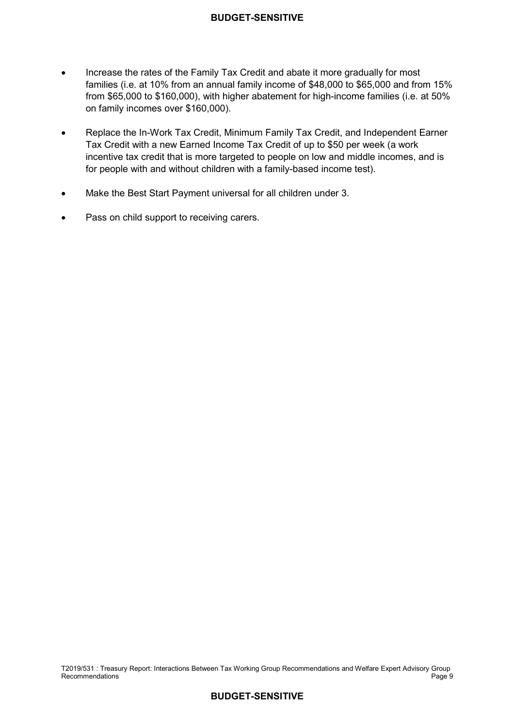- • Increase the rates of the Family Tax Credit and abate it more gradually for most families (i.e. at 10% from an annual family income of \$48,000 to \$65,000 and from 15% from \$65,000 to \$160,000), with higher abatement for high-income families (i.e. at 50% on family incomes over \$160,000).
- • Replace the In-Work Tax Credit, Minimum Family Tax Credit, and Independent Earner Tax Credit with a new Earned Income Tax Credit of up to \$50 per week (a work incentive tax credit that is more targeted to people on low and middle incomes, and is for people with and without children with a family-based income test).
- Make the Best Start Payment universal for all children under 3.
- Pass on child support to receiving carers.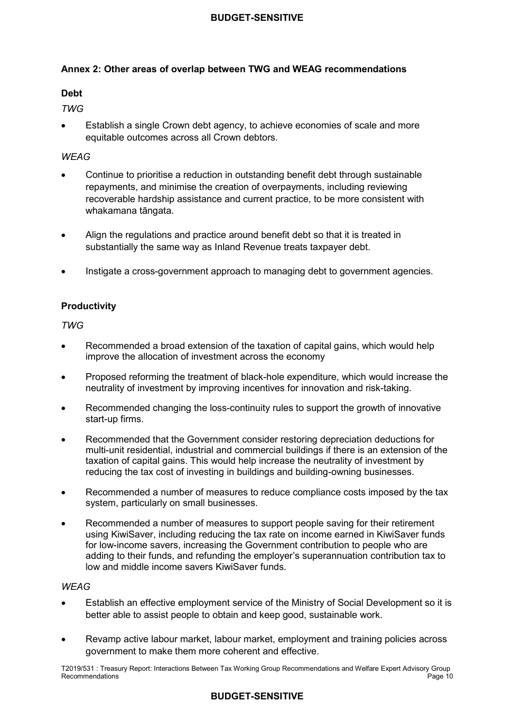## **Annex 2: Other areas of overlap between TWG and WEAG recommendations**

## **Debt**

*TWG* 

 • Establish a single Crown debt agency, to achieve economies of scale and more equitable outcomes across all Crown debtors.

## *WEAG*

- • Continue to prioritise a reduction in outstanding benefit debt through sustainable repayments, and minimise the creation of overpayments, including reviewing recoverable hardship assistance and current practice, to be more consistent with whakamana tāngata.
- • Align the regulations and practice around benefit debt so that it is treated in substantially the same way as Inland Revenue treats taxpayer debt.
- Instigate a cross-government approach to managing debt to government agencies.

## **Productivity**

*TWG* 

- • Recommended a broad extension of the taxation of capital gains, which would help improve the allocation of investment across the economy
- • Proposed reforming the treatment of black-hole expenditure, which would increase the neutrality of investment by improving incentives for innovation and risk-taking.
- • Recommended changing the loss-continuity rules to support the growth of innovative start-up firms.
- • Recommended that the Government consider restoring depreciation deductions for multi-unit residential, industrial and commercial buildings if there is an extension of the taxation of capital gains. This would help increase the neutrality of investment by reducing the tax cost of investing in buildings and building-owning businesses.
- • Recommended a number of measures to reduce compliance costs imposed by the tax system, particularly on small businesses.
- • Recommended a number of measures to support people saving for their retirement using KiwiSaver, including reducing the tax rate on income earned in KiwiSaver funds for low-income savers, increasing the Government contribution to people who are adding to their funds, and refunding the employer's superannuation contribution tax to low and middle income savers KiwiSaver funds.

## *WEAG*

- • Establish an effective employment service of the Ministry of Social Development so it is better able to assist people to obtain and keep good, sustainable work.
- • Revamp active labour market, labour market, employment and training policies across government to make them more coherent and effective.

 T2019/531 : Treasury Report: Interactions Between Tax Working Group Recommendations and Welfare Expert Advisory Group Recommendations Page 10